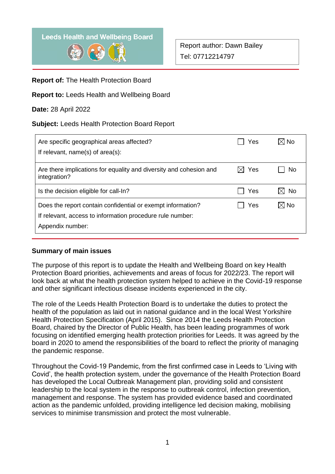

#### **Report of:** The Health Protection Board

**Report to:** Leeds Health and Wellbeing Board

#### **Date:** 28 April 2022

#### **Subject:** Leeds Health Protection Board Report

| Are specific geographical areas affected?                                          | Yes | $\boxtimes$ No |
|------------------------------------------------------------------------------------|-----|----------------|
| If relevant, $name(s)$ of $area(s)$ :                                              |     |                |
| Are there implications for equality and diversity and cohesion and<br>integration? | Yes | No             |
| Is the decision eligible for call-In?                                              | Yes | No             |
| Does the report contain confidential or exempt information?                        | Yes | $\boxtimes$ No |
| If relevant, access to information procedure rule number:                          |     |                |
| Appendix number:                                                                   |     |                |

## **Summary of main issues**

The purpose of this report is to update the Health and Wellbeing Board on key Health Protection Board priorities, achievements and areas of focus for 2022/23. The report will look back at what the health protection system helped to achieve in the Covid-19 response and other significant infectious disease incidents experienced in the city.

The role of the Leeds Health Protection Board is to undertake the duties to protect the health of the population as laid out in national guidance and in the local West Yorkshire Health Protection Specification (April 2015). Since 2014 the Leeds Health Protection Board, chaired by the Director of Public Health, has been leading programmes of work focusing on identified emerging health protection priorities for Leeds. It was agreed by the board in 2020 to amend the responsibilities of the board to reflect the priority of managing the pandemic response.

Throughout the Covid-19 Pandemic, from the first confirmed case in Leeds to 'Living with Covid', the health protection system, under the governance of the Health Protection Board has developed the Local Outbreak Management plan, providing solid and consistent leadership to the local system in the response to outbreak control, infection prevention, management and response. The system has provided evidence based and coordinated action as the pandemic unfolded, providing intelligence led decision making, mobilising services to minimise transmission and protect the most vulnerable.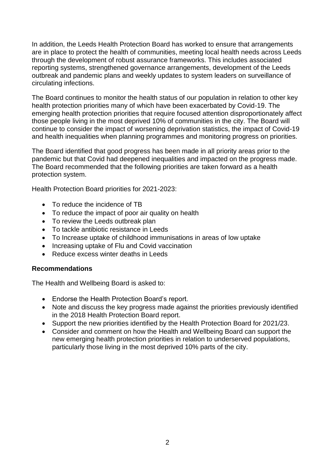In addition, the Leeds Health Protection Board has worked to ensure that arrangements are in place to protect the health of communities, meeting local health needs across Leeds through the development of robust assurance frameworks. This includes associated reporting systems, strengthened governance arrangements, development of the Leeds outbreak and pandemic plans and weekly updates to system leaders on surveillance of circulating infections.

The Board continues to monitor the health status of our population in relation to other key health protection priorities many of which have been exacerbated by Covid-19. The emerging health protection priorities that require focused attention disproportionately affect those people living in the most deprived 10% of communities in the city. The Board will continue to consider the impact of worsening deprivation statistics, the impact of Covid-19 and health inequalities when planning programmes and monitoring progress on priorities.

The Board identified that good progress has been made in all priority areas prior to the pandemic but that Covid had deepened inequalities and impacted on the progress made. The Board recommended that the following priorities are taken forward as a health protection system.

Health Protection Board priorities for 2021-2023:

- To reduce the incidence of TB
- To reduce the impact of poor air quality on health
- To review the Leeds outbreak plan
- To tackle antibiotic resistance in Leeds
- To Increase uptake of childhood immunisations in areas of low uptake
- Increasing uptake of Flu and Covid vaccination
- Reduce excess winter deaths in Leeds

#### **Recommendations**

The Health and Wellbeing Board is asked to:

- Endorse the Health Protection Board's report.
- Note and discuss the key progress made against the priorities previously identified in the 2018 Health Protection Board report.
- Support the new priorities identified by the Health Protection Board for 2021/23.
- Consider and comment on how the Health and Wellbeing Board can support the new emerging health protection priorities in relation to underserved populations, particularly those living in the most deprived 10% parts of the city.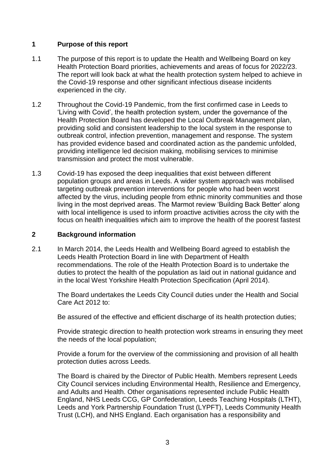#### **1 Purpose of this report**

- 1.1 The purpose of this report is to update the Health and Wellbeing Board on key Health Protection Board priorities, achievements and areas of focus for 2022/23. The report will look back at what the health protection system helped to achieve in the Covid-19 response and other significant infectious disease incidents experienced in the city.
- 1.2 Throughout the Covid-19 Pandemic, from the first confirmed case in Leeds to 'Living with Covid', the health protection system, under the governance of the Health Protection Board has developed the Local Outbreak Management plan, providing solid and consistent leadership to the local system in the response to outbreak control, infection prevention, management and response. The system has provided evidence based and coordinated action as the pandemic unfolded, providing intelligence led decision making, mobilising services to minimise transmission and protect the most vulnerable.
- 1.3 Covid-19 has exposed the deep inequalities that exist between different population groups and areas in Leeds. A wider system approach was mobilised targeting outbreak prevention interventions for people who had been worst affected by the virus, including people from ethnic minority communities and those living in the most deprived areas. The Marmot review 'Building Back Better' along with local intelligence is used to inform proactive activities across the city with the focus on health inequalities which aim to improve the health of the poorest fastest

#### **2 Background information**

2.1 In March 2014, the Leeds Health and Wellbeing Board agreed to establish the Leeds Health Protection Board in line with Department of Health recommendations. The role of the Health Protection Board is to undertake the duties to protect the health of the population as laid out in national guidance and in the local West Yorkshire Health Protection Specification (April 2014).

The Board undertakes the Leeds City Council duties under the Health and Social Care Act 2012 to:

Be assured of the effective and efficient discharge of its health protection duties;

Provide strategic direction to health protection work streams in ensuring they meet the needs of the local population;

Provide a forum for the overview of the commissioning and provision of all health protection duties across Leeds.

The Board is chaired by the Director of Public Health. Members represent Leeds City Council services including Environmental Health, Resilience and Emergency, and Adults and Health. Other organisations represented include Public Health England, NHS Leeds CCG, GP Confederation, Leeds Teaching Hospitals (LTHT), Leeds and York Partnership Foundation Trust (LYPFT), Leeds Community Health Trust (LCH), and NHS England. Each organisation has a responsibility and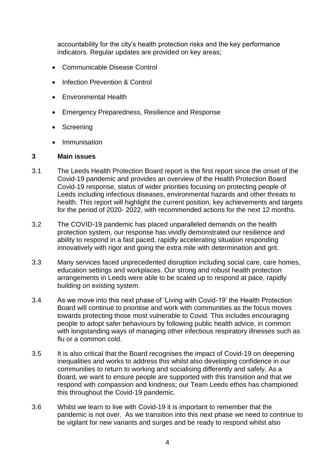accountability for the city's health protection risks and the key performance indicators. Regular updates are provided on key areas;

- Communicable Disease Control
- Infection Prevention & Control
- Environmental Health
- Emergency Preparedness, Resilience and Response
- Screening
- Immunisation

#### **3 Main issues**

- 3.1 The Leeds Health Protection Board report is the first report since the onset of the Covid-19 pandemic and provides an overview of the Health Protection Board Covid-19 response, status of wider priorities focusing on protecting people of Leeds including infectious diseases, environmental hazards and other threats to health. This report will highlight the current position, key achievements and targets for the period of 2020- 2022, with recommended actions for the next 12 months.
- 3.2 The COVID-19 pandemic has placed unparalleled demands on the health protection system, our response has vividly demonstrated our resilience and ability to respond in a fast paced, rapidly accelerating situation responding innovatively with rigor and going the extra mile with determination and grit.
- 3.3 Many services faced unprecedented disruption including social care, care homes, education settings and workplaces. Our strong and robust health protection arrangements in Leeds were able to be scaled up to respond at pace, rapidly building on existing system.
- 3.4 As we move into this next phase of 'Living with Covid-19' the Health Protection Board will continue to prioritise and work with communities as the focus moves towards protecting those most vulnerable to Covid. This includes encouraging people to adopt safer behaviours by following public health advice, in common with longstanding ways of managing other infectious respiratory illnesses such as flu or a common cold.
- 3.5 It is also critical that the Board recognises the impact of Covid-19 on deepening inequalities and works to address this whilst also developing confidence in our communities to return to working and socialising differently and safely. As a Board, we want to ensure people are supported with this transition and that we respond with compassion and kindness; our Team Leeds ethos has championed this throughout the Covid-19 pandemic.
- 3.6 Whilst we learn to live with Covid-19 it is important to remember that the pandemic is not over. As we transition into this next phase we need to continue to be vigilant for new variants and surges and be ready to respond whilst also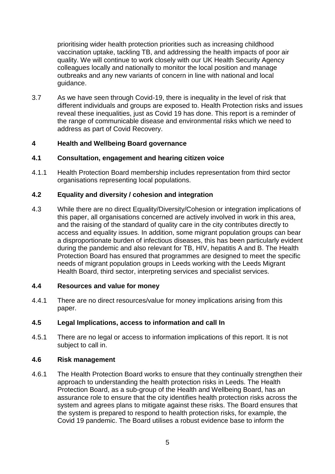prioritising wider health protection priorities such as increasing childhood vaccination uptake, tackling TB, and addressing the health impacts of poor air quality. We will continue to work closely with our UK Health Security Agency colleagues locally and nationally to monitor the local position and manage outbreaks and any new variants of concern in line with national and local guidance.

3.7 As we have seen through Covid-19, there is inequality in the level of risk that different individuals and groups are exposed to. Health Protection risks and issues reveal these inequalities, just as Covid 19 has done. This report is a reminder of the range of communicable disease and environmental risks which we need to address as part of Covid Recovery.

#### **4 Health and Wellbeing Board governance**

#### **4.1 Consultation, engagement and hearing citizen voice**

4.1.1 Health Protection Board membership includes representation from third sector organisations representing local populations.

#### **4.2 Equality and diversity / cohesion and integration**

4.3 While there are no direct Equality/Diversity/Cohesion or integration implications of this paper, all organisations concerned are actively involved in work in this area, and the raising of the standard of quality care in the city contributes directly to access and equality issues. In addition, some migrant population groups can bear a disproportionate burden of infectious diseases, this has been particularly evident during the pandemic and also relevant for TB, HIV, hepatitis A and B. The Health Protection Board has ensured that programmes are designed to meet the specific needs of migrant population groups in Leeds working with the Leeds Migrant Health Board, third sector, interpreting services and specialist services.

#### **4.4 Resources and value for money**

4.4.1 There are no direct resources/value for money implications arising from this paper.

## **4.5 Legal Implications, access to information and call In**

4.5.1 There are no legal or access to information implications of this report. It is not subject to call in.

#### **4.6 Risk management**

4.6.1 The Health Protection Board works to ensure that they continually strengthen their approach to understanding the health protection risks in Leeds. The Health Protection Board, as a sub-group of the Health and Wellbeing Board, has an assurance role to ensure that the city identifies health protection risks across the system and agrees plans to mitigate against these risks. The Board ensures that the system is prepared to respond to health protection risks, for example, the Covid 19 pandemic. The Board utilises a robust evidence base to inform the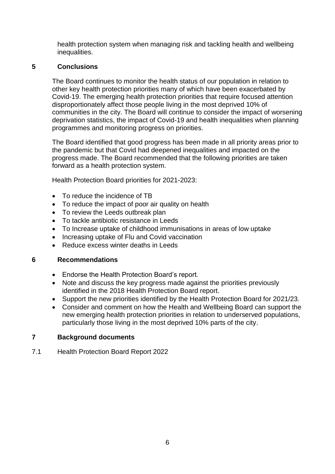health protection system when managing risk and tackling health and wellbeing inequalities.

#### **5 Conclusions**

The Board continues to monitor the health status of our population in relation to other key health protection priorities many of which have been exacerbated by Covid-19. The emerging health protection priorities that require focused attention disproportionately affect those people living in the most deprived 10% of communities in the city. The Board will continue to consider the impact of worsening deprivation statistics, the impact of Covid-19 and health inequalities when planning programmes and monitoring progress on priorities.

The Board identified that good progress has been made in all priority areas prior to the pandemic but that Covid had deepened inequalities and impacted on the progress made. The Board recommended that the following priorities are taken forward as a health protection system.

Health Protection Board priorities for 2021-2023:

- To reduce the incidence of TB
- To reduce the impact of poor air quality on health
- To review the Leeds outbreak plan
- To tackle antibiotic resistance in Leeds
- To Increase uptake of childhood immunisations in areas of low uptake
- Increasing uptake of Flu and Covid vaccination
- Reduce excess winter deaths in Leeds

#### **6 Recommendations**

- Endorse the Health Protection Board's report.
- Note and discuss the key progress made against the priorities previously identified in the 2018 Health Protection Board report.
- Support the new priorities identified by the Health Protection Board for 2021/23.
- Consider and comment on how the Health and Wellbeing Board can support the new emerging health protection priorities in relation to underserved populations, particularly those living in the most deprived 10% parts of the city.

#### **7 Background documents**

7.1 Health Protection Board Report 2022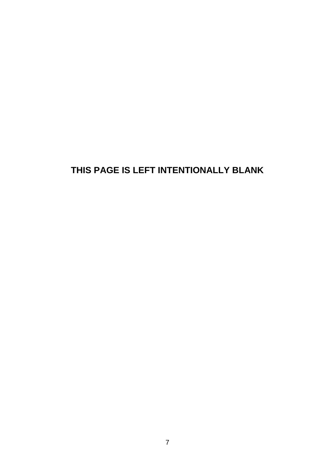# **THIS PAGE IS LEFT INTENTIONALLY BLANK**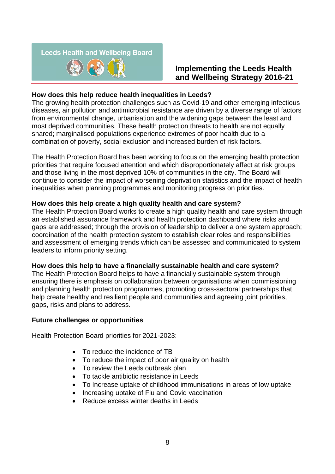# **Leeds Health and Wellbeing Board**

# **Implementing the Leeds Health and Wellbeing Strategy 2016-21**

#### **How does this help reduce health inequalities in Leeds?**

The growing health protection challenges such as Covid-19 and other emerging infectious diseases, air pollution and antimicrobial resistance are driven by a diverse range of factors from environmental change, urbanisation and the widening gaps between the least and most deprived communities. These health protection threats to health are not equally shared; marginalised populations experience extremes of poor health due to a combination of poverty, social exclusion and increased burden of risk factors.

The Health Protection Board has been working to focus on the emerging health protection priorities that require focused attention and which disproportionately affect at risk groups and those living in the most deprived 10% of communities in the city. The Board will continue to consider the impact of worsening deprivation statistics and the impact of health inequalities when planning programmes and monitoring progress on priorities.

#### **How does this help create a high quality health and care system?**

The Health Protection Board works to create a high quality health and care system through an established assurance framework and health protection dashboard where risks and gaps are addressed; through the provision of leadership to deliver a one system approach; coordination of the health protection system to establish clear roles and responsibilities and assessment of emerging trends which can be assessed and communicated to system leaders to inform priority setting.

#### **How does this help to have a financially sustainable health and care system?**

The Health Protection Board helps to have a financially sustainable system through ensuring there is emphasis on collaboration between organisations when commissioning and planning health protection programmes, promoting cross-sectoral partnerships that help create healthy and resilient people and communities and agreeing joint priorities, gaps, risks and plans to address.

#### **Future challenges or opportunities**

Health Protection Board priorities for 2021-2023:

- To reduce the incidence of TB
- To reduce the impact of poor air quality on health
- To review the Leeds outbreak plan
- To tackle antibiotic resistance in Leeds
- To Increase uptake of childhood immunisations in areas of low uptake
- Increasing uptake of Flu and Covid vaccination
- Reduce excess winter deaths in Leeds